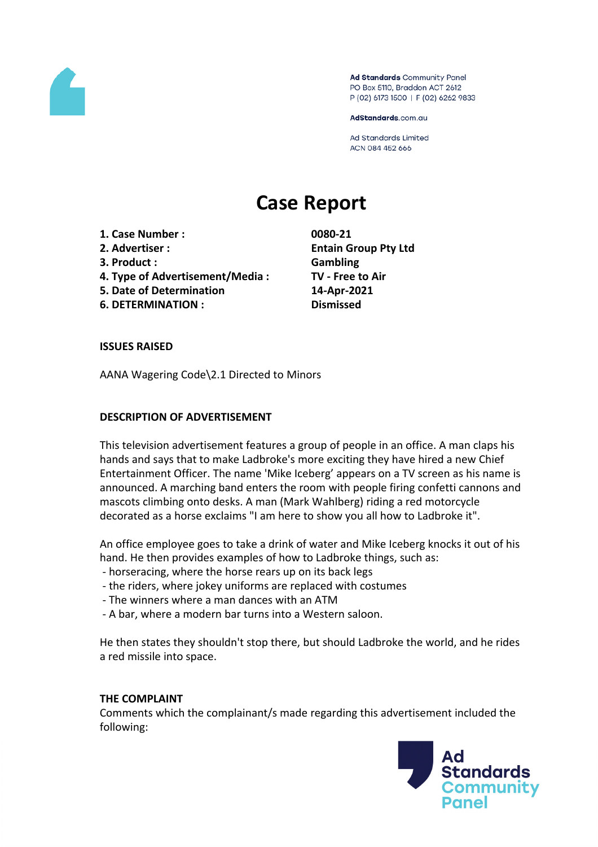

Ad Standards Community Panel PO Box 5110, Braddon ACT 2612 P (02) 6173 1500 | F (02) 6262 9833

AdStandards.com.au

**Ad Standards Limited** ACN 084 452 666

# **Case Report**

- **1. Case Number : 0080-21**
- 
- **3. Product : Gambling**
- **4. Type of Advertisement/Media : TV - Free to Air**
- **5. Date of Determination 14-Apr-2021**
- **6. DETERMINATION : Dismissed**

**2. Advertiser : Entain Group Pty Ltd**

## **ISSUES RAISED**

AANA Wagering Code\2.1 Directed to Minors

## **DESCRIPTION OF ADVERTISEMENT**

This television advertisement features a group of people in an office. A man claps his hands and says that to make Ladbroke's more exciting they have hired a new Chief Entertainment Officer. The name 'Mike Iceberg' appears on a TV screen as his name is announced. A marching band enters the room with people firing confetti cannons and mascots climbing onto desks. A man (Mark Wahlberg) riding a red motorcycle decorated as a horse exclaims "I am here to show you all how to Ladbroke it".

An office employee goes to take a drink of water and Mike Iceberg knocks it out of his hand. He then provides examples of how to Ladbroke things, such as:

- horseracing, where the horse rears up on its back legs
- the riders, where jokey uniforms are replaced with costumes
- The winners where a man dances with an ATM
- A bar, where a modern bar turns into a Western saloon.

He then states they shouldn't stop there, but should Ladbroke the world, and he rides a red missile into space.

#### **THE COMPLAINT**

Comments which the complainant/s made regarding this advertisement included the following:

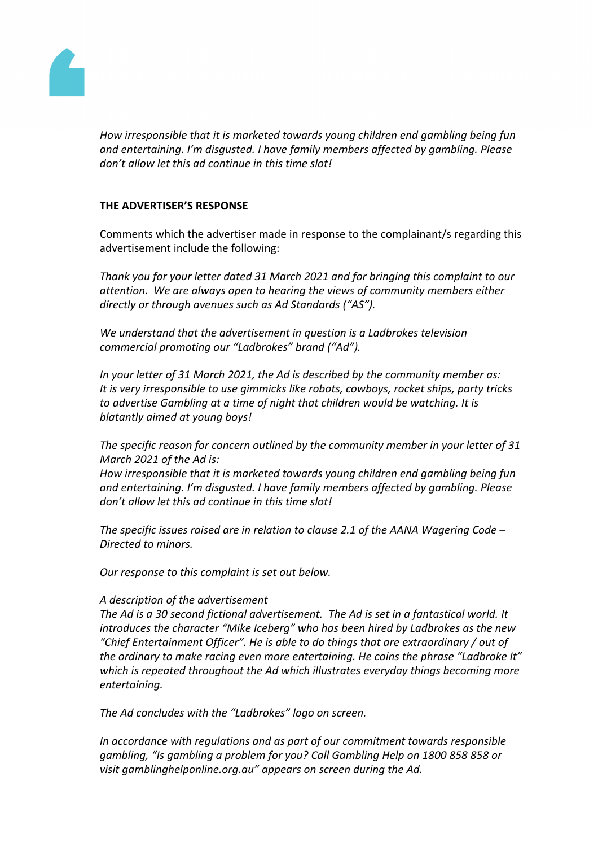

*How irresponsible that it is marketed towards young children end gambling being fun and entertaining. I'm disgusted. I have family members affected by gambling. Please don't allow let this ad continue in this time slot!*

## **THE ADVERTISER'S RESPONSE**

Comments which the advertiser made in response to the complainant/s regarding this advertisement include the following:

*Thank you for your letter dated 31 March 2021 and for bringing this complaint to our attention. We are always open to hearing the views of community members either directly or through avenues such as Ad Standards ("AS").* 

*We understand that the advertisement in question is a Ladbrokes television commercial promoting our "Ladbrokes" brand ("Ad").* 

*In your letter of 31 March 2021, the Ad is described by the community member as: It is very irresponsible to use gimmicks like robots, cowboys, rocket ships, party tricks to advertise Gambling at a time of night that children would be watching. It is blatantly aimed at young boys!*

*The specific reason for concern outlined by the community member in your letter of 31 March 2021 of the Ad is:* 

*How irresponsible that it is marketed towards young children end gambling being fun and entertaining. I'm disgusted. I have family members affected by gambling. Please don't allow let this ad continue in this time slot!*

*The specific issues raised are in relation to clause 2.1 of the AANA Wagering Code – Directed to minors.*

*Our response to this complaint is set out below.* 

#### *A description of the advertisement*

*The Ad is a 30 second fictional advertisement. The Ad is set in a fantastical world. It introduces the character "Mike Iceberg" who has been hired by Ladbrokes as the new "Chief Entertainment Officer". He is able to do things that are extraordinary / out of the ordinary to make racing even more entertaining. He coins the phrase "Ladbroke It" which is repeated throughout the Ad which illustrates everyday things becoming more entertaining.*

*The Ad concludes with the "Ladbrokes" logo on screen.* 

*In accordance with regulations and as part of our commitment towards responsible gambling, "Is gambling a problem for you? Call Gambling Help on 1800 858 858 or visit gamblinghelponline.org.au" appears on screen during the Ad.*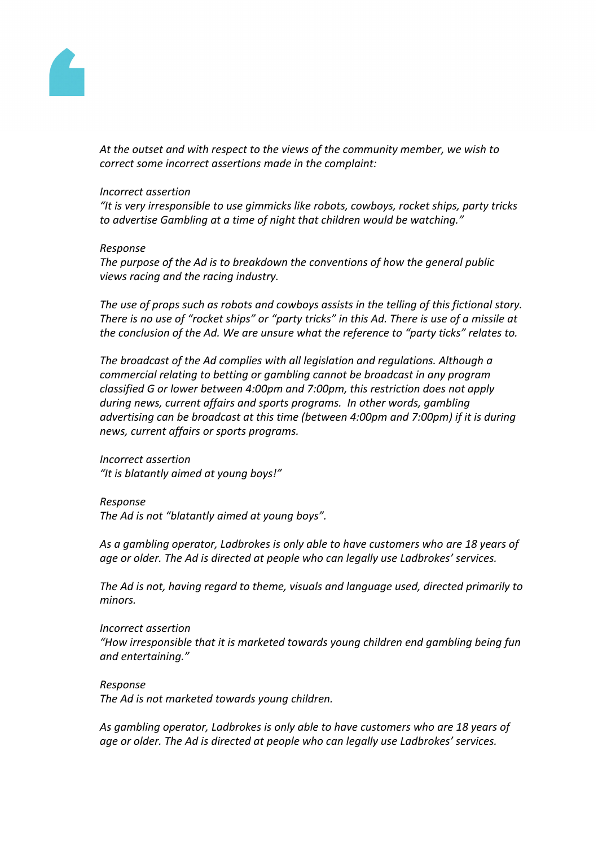

*At the outset and with respect to the views of the community member, we wish to correct some incorrect assertions made in the complaint:*

#### *Incorrect assertion*

*"It is very irresponsible to use gimmicks like robots, cowboys, rocket ships, party tricks to advertise Gambling at a time of night that children would be watching."*

#### *Response*

*The purpose of the Ad is to breakdown the conventions of how the general public views racing and the racing industry.*

*The use of props such as robots and cowboys assists in the telling of this fictional story.* There is no use of "rocket ships" or "party tricks" in this Ad. There is use of a missile at *the conclusion of the Ad. We are unsure what the reference to "party ticks" relates to.*

*The broadcast of the Ad complies with all legislation and regulations. Although a commercial relating to betting or gambling cannot be broadcast in any program classified G or lower between 4:00pm and 7:00pm, this restriction does not apply during news, current affairs and sports programs. In other words, gambling advertising can be broadcast at this time (between 4:00pm and 7:00pm) if it is during news, current affairs or sports programs.*

*Incorrect assertion "It is blatantly aimed at young boys!"*

#### *Response*

*The Ad is not "blatantly aimed at young boys".*

*As a gambling operator, Ladbrokes is only able to have customers who are 18 years of age or older. The Ad is directed at people who can legally use Ladbrokes' services.*

*The Ad is not, having regard to theme, visuals and language used, directed primarily to minors.*

#### *Incorrect assertion*

*"How irresponsible that it is marketed towards young children end gambling being fun and entertaining."*

#### *Response*

*The Ad is not marketed towards young children.*

*As gambling operator, Ladbrokes is only able to have customers who are 18 years of age or older. The Ad is directed at people who can legally use Ladbrokes' services.*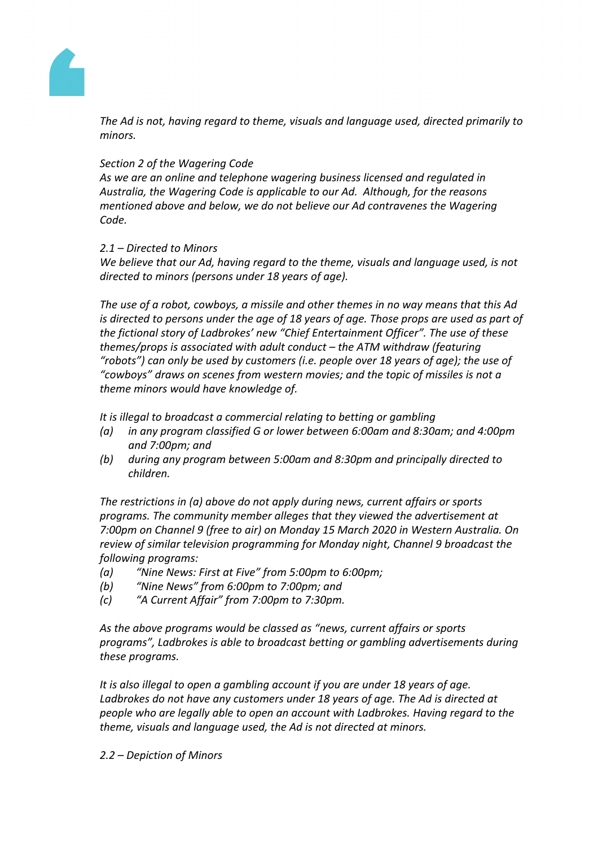

*The Ad is not, having regard to theme, visuals and language used, directed primarily to minors.*

## *Section 2 of the Wagering Code*

*As we are an online and telephone wagering business licensed and regulated in Australia, the Wagering Code is applicable to our Ad. Although, for the reasons mentioned above and below, we do not believe our Ad contravenes the Wagering Code.*

## *2.1 – Directed to Minors*

*We believe that our Ad, having regard to the theme, visuals and language used, is not directed to minors (persons under 18 years of age).*

*The use of a robot, cowboys, a missile and other themes in no way means that this Ad is directed to persons under the age of 18 years of age. Those props are used as part of the fictional story of Ladbrokes' new "Chief Entertainment Officer". The use of these themes/props is associated with adult conduct – the ATM withdraw (featuring "robots") can only be used by customers (i.e. people over 18 years of age); the use of "cowboys" draws on scenes from western movies; and the topic of missiles is not a theme minors would have knowledge of.*

*It is illegal to broadcast a commercial relating to betting or gambling*

- *(a) in any program classified G or lower between 6:00am and 8:30am; and 4:00pm and 7:00pm; and*
- *(b) during any program between 5:00am and 8:30pm and principally directed to children.*

*The restrictions in (a) above do not apply during news, current affairs or sports programs. The community member alleges that they viewed the advertisement at 7:00pm on Channel 9 (free to air) on Monday 15 March 2020 in Western Australia. On review of similar television programming for Monday night, Channel 9 broadcast the following programs:*

- *(a) "Nine News: First at Five" from 5:00pm to 6:00pm;*
- *(b) "Nine News" from 6:00pm to 7:00pm; and*
- *(c) "A Current Affair" from 7:00pm to 7:30pm.*

*As the above programs would be classed as "news, current affairs or sports programs", Ladbrokes is able to broadcast betting or gambling advertisements during these programs.*

*It is also illegal to open a gambling account if you are under 18 years of age. Ladbrokes do not have any customers under 18 years of age. The Ad is directed at people who are legally able to open an account with Ladbrokes. Having regard to the theme, visuals and language used, the Ad is not directed at minors.*

#### *2.2 – Depiction of Minors*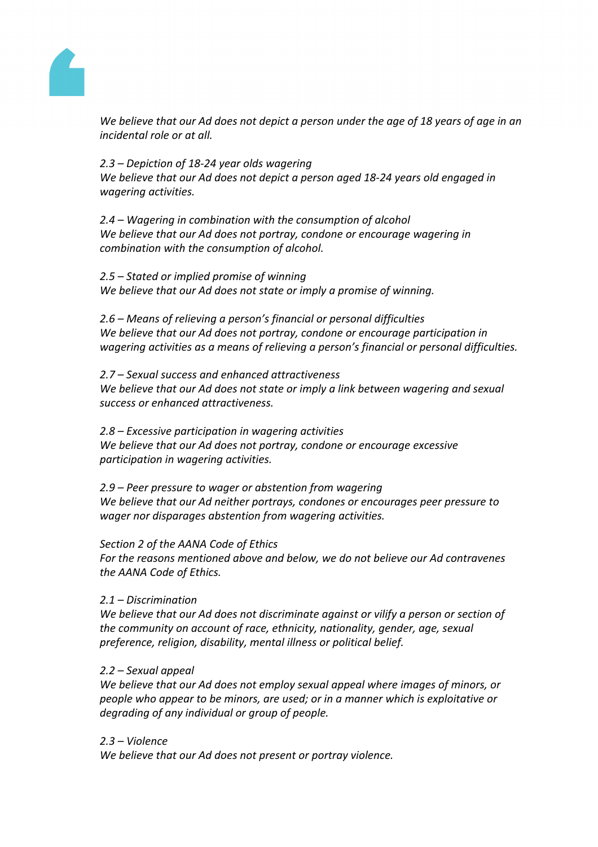

We believe that our Ad does not depict a person under the age of 18 years of age in an *incidental role or at all.*

*2.3 – Depiction of 18-24 year olds wagering We believe that our Ad does not depict a person aged 18-24 years old engaged in wagering activities.*

*2.4 – Wagering in combination with the consumption of alcohol We believe that our Ad does not portray, condone or encourage wagering in combination with the consumption of alcohol.* 

*2.5 – Stated or implied promise of winning We believe that our Ad does not state or imply a promise of winning.*

*2.6 – Means of relieving a person's financial or personal difficulties We believe that our Ad does not portray, condone or encourage participation in wagering activities as a means of relieving a person's financial or personal difficulties.*

*2.7 – Sexual success and enhanced attractiveness We believe that our Ad does not state or imply a link between wagering and sexual success or enhanced attractiveness.*

*2.8 – Excessive participation in wagering activities We believe that our Ad does not portray, condone or encourage excessive participation in wagering activities.*

*2.9 – Peer pressure to wager or abstention from wagering We believe that our Ad neither portrays, condones or encourages peer pressure to wager nor disparages abstention from wagering activities.*

*Section 2 of the AANA Code of Ethics*

*For the reasons mentioned above and below, we do not believe our Ad contravenes the AANA Code of Ethics.*

#### *2.1 – Discrimination*

*We believe that our Ad does not discriminate against or vilify a person or section of the community on account of race, ethnicity, nationality, gender, age, sexual preference, religion, disability, mental illness or political belief.* 

#### *2.2 – Sexual appeal*

*We believe that our Ad does not employ sexual appeal where images of minors, or people who appear to be minors, are used; or in a manner which is exploitative or degrading of any individual or group of people.*

#### *2.3 – Violence*

*We believe that our Ad does not present or portray violence.*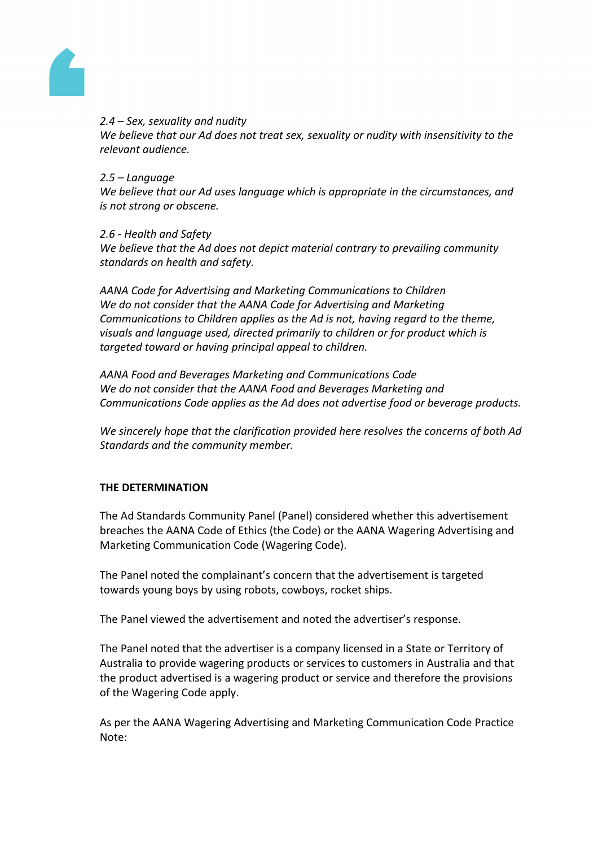

## *2.4 – Sex, sexuality and nudity*

*We believe that our Ad does not treat sex, sexuality or nudity with insensitivity to the relevant audience.* 

## *2.5 – Language*

*We believe that our Ad uses language which is appropriate in the circumstances, and is not strong or obscene.* 

#### *2.6 - Health and Safety*

*We believe that the Ad does not depict material contrary to prevailing community standards on health and safety.*

*AANA Code for Advertising and Marketing Communications to Children We do not consider that the AANA Code for Advertising and Marketing Communications to Children applies as the Ad is not, having regard to the theme, visuals and language used, directed primarily to children or for product which is targeted toward or having principal appeal to children.* 

*AANA Food and Beverages Marketing and Communications Code We do not consider that the AANA Food and Beverages Marketing and Communications Code applies as the Ad does not advertise food or beverage products.*

*We sincerely hope that the clarification provided here resolves the concerns of both Ad Standards and the community member.*

# **THE DETERMINATION**

The Ad Standards Community Panel (Panel) considered whether this advertisement breaches the AANA Code of Ethics (the Code) or the AANA Wagering Advertising and Marketing Communication Code (Wagering Code).

The Panel noted the complainant's concern that the advertisement is targeted towards young boys by using robots, cowboys, rocket ships.

The Panel viewed the advertisement and noted the advertiser's response.

The Panel noted that the advertiser is a company licensed in a State or Territory of Australia to provide wagering products or services to customers in Australia and that the product advertised is a wagering product or service and therefore the provisions of the Wagering Code apply.

As per the AANA Wagering Advertising and Marketing Communication Code Practice Note: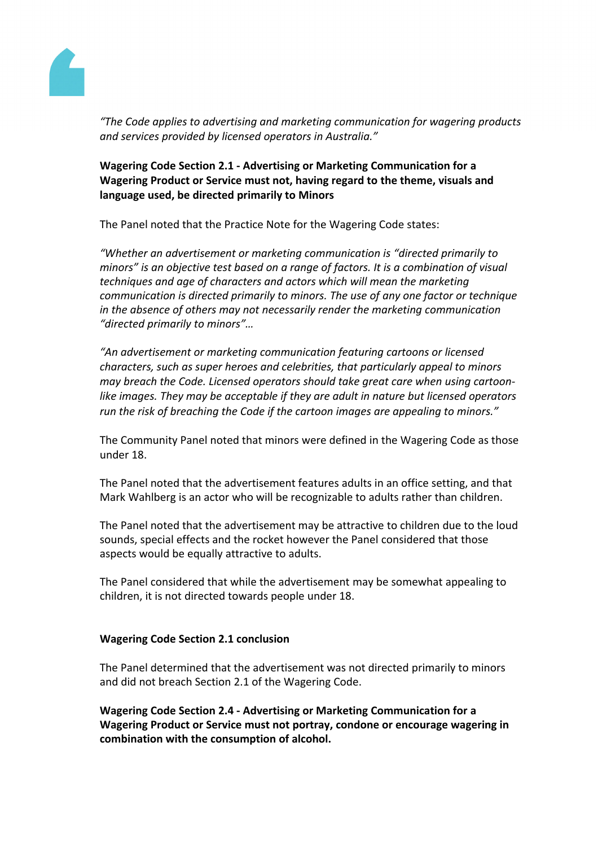

*"The Code applies to advertising and marketing communication for wagering products and services provided by licensed operators in Australia."*

# **Wagering Code Section 2.1 - Advertising or Marketing Communication for a Wagering Product or Service must not, having regard to the theme, visuals and language used, be directed primarily to Minors**

The Panel noted that the Practice Note for the Wagering Code states:

*"Whether an advertisement or marketing communication is "directed primarily to minors" is an objective test based on a range of factors. It is a combination of visual techniques and age of characters and actors which will mean the marketing communication is directed primarily to minors. The use of any one factor or technique in the absence of others may not necessarily render the marketing communication "directed primarily to minors"…*

*"An advertisement or marketing communication featuring cartoons or licensed characters, such as super heroes and celebrities, that particularly appeal to minors may breach the Code. Licensed operators should take great care when using cartoonlike images. They may be acceptable if they are adult in nature but licensed operators run the risk of breaching the Code if the cartoon images are appealing to minors."*

The Community Panel noted that minors were defined in the Wagering Code as those under 18.

The Panel noted that the advertisement features adults in an office setting, and that Mark Wahlberg is an actor who will be recognizable to adults rather than children.

The Panel noted that the advertisement may be attractive to children due to the loud sounds, special effects and the rocket however the Panel considered that those aspects would be equally attractive to adults.

The Panel considered that while the advertisement may be somewhat appealing to children, it is not directed towards people under 18.

# **Wagering Code Section 2.1 conclusion**

The Panel determined that the advertisement was not directed primarily to minors and did not breach Section 2.1 of the Wagering Code.

**Wagering Code Section 2.4 - Advertising or Marketing Communication for a Wagering Product or Service must not portray, condone or encourage wagering in combination with the consumption of alcohol.**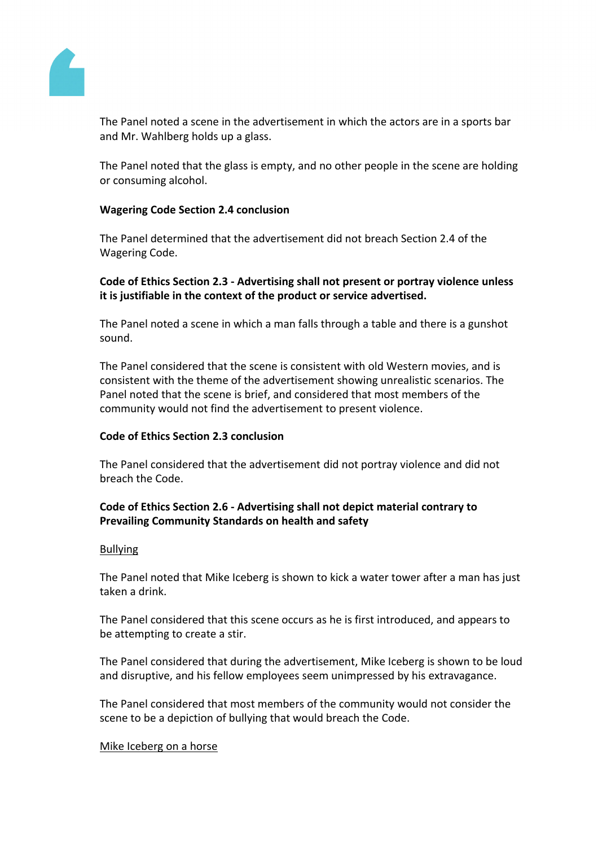

The Panel noted a scene in the advertisement in which the actors are in a sports bar and Mr. Wahlberg holds up a glass.

The Panel noted that the glass is empty, and no other people in the scene are holding or consuming alcohol.

## **Wagering Code Section 2.4 conclusion**

The Panel determined that the advertisement did not breach Section 2.4 of the Wagering Code.

## **Code of Ethics Section 2.3 - Advertising shall not present or portray violence unless it is justifiable in the context of the product or service advertised.**

The Panel noted a scene in which a man falls through a table and there is a gunshot sound.

The Panel considered that the scene is consistent with old Western movies, and is consistent with the theme of the advertisement showing unrealistic scenarios. The Panel noted that the scene is brief, and considered that most members of the community would not find the advertisement to present violence.

#### **Code of Ethics Section 2.3 conclusion**

The Panel considered that the advertisement did not portray violence and did not breach the Code.

# **Code of Ethics Section 2.6 - Advertising shall not depict material contrary to Prevailing Community Standards on health and safety**

#### Bullying

The Panel noted that Mike Iceberg is shown to kick a water tower after a man has just taken a drink.

The Panel considered that this scene occurs as he is first introduced, and appears to be attempting to create a stir.

The Panel considered that during the advertisement, Mike Iceberg is shown to be loud and disruptive, and his fellow employees seem unimpressed by his extravagance.

The Panel considered that most members of the community would not consider the scene to be a depiction of bullying that would breach the Code.

#### Mike Iceberg on a horse